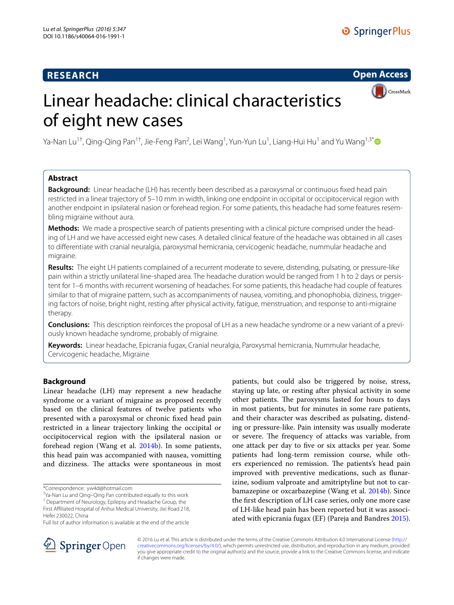# **RESEARCH**



**CrossMark** 

# Linear headache: clinical characteristics of eight new cases

Ya-Nan Lu<sup>1†</sup>, Qing-Qing Pan<sup>1†</sup>, Jie-Feng Pan<sup>2</sup>, Lei Wang<sup>1</sup>, Yun-Yun Lu<sup>1</sup>, Liang-Hui Hu<sup>1</sup> and Yu Wang<sup>1,3[\\*](http://orcid.org/0000-0002-9454-9699)</sup>

## **Abstract**

**Background:** Linear headache (LH) has recently been described as a paroxysmal or continuous fixed head pain restricted in a linear trajectory of 5–10 mm in width, linking one endpoint in occipital or occipitocervical region with another endpoint in ipsilateral nasion or forehead region. For some patients, this headache had some features resembling migraine without aura.

**Methods:** We made a prospective search of patients presenting with a clinical picture comprised under the heading of LH and we have accessed eight new cases. A detailed clinical feature of the headache was obtained in all cases to differentiate with cranial neuralgia, paroxysmal hemicrania, cervicogenic headache, nummular headache and migraine.

**Results:** The eight LH patients complained of a recurrent moderate to severe, distending, pulsating, or pressure-like pain within a strictly unilateral line-shaped area. The headache duration would be ranged from 1 h to 2 days or persistent for 1–6 months with recurrent worsening of headaches. For some patients, this headache had couple of features similar to that of migraine pattern, such as accompaniments of nausea, vomiting, and phonophobia, diziness, triggering factors of noise, bright night, resting after physical activity, fatigue, menstruation, and response to anti-migraine therapy.

**Conclusions:** This description reinforces the proposal of LH as a new headache syndrome or a new variant of a previously known headache syndrome, probably of migraine.

**Keywords:** Linear headache, Epicrania fugax, Cranial neuralgia, Paroxysmal hemicrania, Nummular headache, Cervicogenic headache, Migraine

## **Background**

Linear headache (LH) may represent a new headache syndrome or a variant of migraine as proposed recently based on the clinical features of twelve patients who presented with a paroxysmal or chronic fixed head pain restricted in a linear trajectory linking the occipital or occipitocervical region with the ipsilateral nasion or forehead region (Wang et al. [2014b\)](#page-9-0). In some patients, this head pain was accompanied with nausea, vomitting and dizziness. The attacks were spontaneous in most

<sup>1</sup> Department of Neurology, Epilepsy and Headache Group, the First Affiliated Hospital of Anhui Medical University, Jixi Road 218,

Hefei 230022, China





© 2016 Lu et al. This article is distributed under the terms of the Creative Commons Attribution 4.0 International License [\(http://](http://creativecommons.org/licenses/by/4.0/) [creativecommons.org/licenses/by/4.0/](http://creativecommons.org/licenses/by/4.0/)), which permits unrestricted use, distribution, and reproduction in any medium, provided you give appropriate credit to the original author(s) and the source, provide a link to the Creative Commons license, and indicate if changes were made.

<sup>\*</sup>Correspondence: yw4d@hotmail.com

<sup>†</sup> Ya-Nan Lu and Qing–Qing Pan contributed equally to this work

Full list of author information is available at the end of the article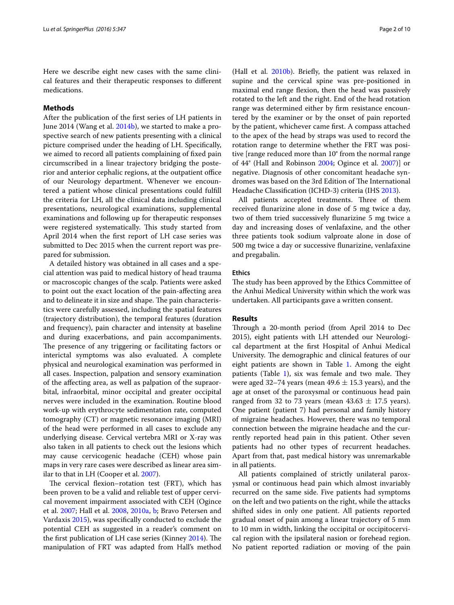Here we describe eight new cases with the same clinical features and their therapeutic responses to different medications.

## **Methods**

After the publication of the first series of LH patients in June 2014 (Wang et al. [2014b\)](#page-9-0), we started to make a prospective search of new patients presenting with a clinical picture comprised under the heading of LH. Specifically, we aimed to record all patients complaining of fixed pain circumscribed in a linear trajectory bridging the posterior and anterior cephalic regions, at the outpatient office of our Neurology department. Whenever we encountered a patient whose clinical presentations could fulfill the criteria for LH, all the clinical data including clinical presentations, neurological examinations, supplemental examinations and following up for therapeutic responses were registered systematically. This study started from April 2014 when the first report of LH case series was submitted to Dec 2015 when the current report was prepared for submission.

A detailed history was obtained in all cases and a special attention was paid to medical history of head trauma or macroscopic changes of the scalp. Patients were asked to point out the exact location of the pain-affecting area and to delineate it in size and shape. The pain characteristics were carefully assessed, including the spatial features (trajectory distribution), the temporal features (duration and frequency), pain character and intensity at baseline and during exacerbations, and pain accompaniments. The presence of any triggering or facilitating factors or interictal symptoms was also evaluated. A complete physical and neurological examination was performed in all cases. Inspection, palpation and sensory examination of the affecting area, as well as palpation of the supraorbital, infraorbital, minor occipital and greater occipital nerves were included in the examination. Routine blood work-up with erythrocyte sedimentation rate, computed tomography (CT) or magnetic resonance imaging (MRI) of the head were performed in all cases to exclude any underlying disease. Cervical vertebra MRI or X-ray was also taken in all patients to check out the lesions which may cause cervicogenic headache (CEH) whose pain maps in very rare cases were described as linear area similar to that in LH (Cooper et al. [2007\)](#page-8-1).

The cervical flexion–rotation test (FRT), which has been proven to be a valid and reliable test of upper cervical movement impairment associated with CEH (Ogince et al. [2007](#page-8-2); Hall et al. [2008](#page-8-3), [2010a,](#page-8-4) [b;](#page-8-5) Bravo Petersen and Vardaxis [2015](#page-8-6)), was specifically conducted to exclude the potential CEH as suggested in a reader's comment on the first publication of LH case series (Kinney [2014](#page-8-7)). The manipulation of FRT was adapted from Hall's method

(Hall et al. [2010b](#page-8-5)). Briefly, the patient was relaxed in supine and the cervical spine was pre-positioned in maximal end range flexion, then the head was passively rotated to the left and the right. End of the head rotation range was determined either by firm resistance encountered by the examiner or by the onset of pain reported by the patient, whichever came first. A compass attached to the apex of the head by straps was used to record the rotation range to determine whether the FRT was positive [range reduced more than 10° from the normal range of 44° (Hall and Robinson [2004](#page-8-8); Ogince et al. [2007\)](#page-8-2)] or negative. Diagnosis of other concomitant headache syndromes was based on the 3rd Edition of The International Headache Classification (ICHD-3) criteria (IHS [2013](#page-8-9)).

All patients accepted treatments. Three of them received flunarizine alone in dose of 5 mg twice a day, two of them tried successively flunarizine 5 mg twice a day and increasing doses of venlafaxine, and the other three patients took sodium valproate alone in dose of 500 mg twice a day or successive flunarizine, venlafaxine and pregabalin.

### **Ethics**

The study has been approved by the Ethics Committee of the Anhui Medical University within which the work was undertaken. All participants gave a written consent.

## **Results**

Through a 20-month period (from April 2014 to Dec 2015), eight patients with LH attended our Neurological department at the first Hospital of Anhui Medical University. The demographic and clinical features of our eight patients are shown in Table [1](#page-2-0). Among the eight patients (Table  $1$ ), six was female and two male. They were aged 32–74 years (mean  $49.6 \pm 15.3$  years), and the age at onset of the paroxysmal or continuous head pain ranged from 32 to 73 years (mean  $43.63 \pm 17.5$  years). One patient (patient 7) had personal and family history of migraine headaches. However, there was no temporal connection between the migraine headache and the currently reported head pain in this patient. Other seven patients had no other types of recurrent headaches. Apart from that, past medical history was unremarkable in all patients.

All patients complained of strictly unilateral paroxysmal or continuous head pain which almost invariably recurred on the same side. Five patients had symptoms on the left and two patients on the right, while the attacks shifted sides in only one patient. All patients reported gradual onset of pain among a linear trajectory of 5 mm to 10 mm in width, linking the occipital or occipitocervical region with the ipsilateral nasion or forehead region. No patient reported radiation or moving of the pain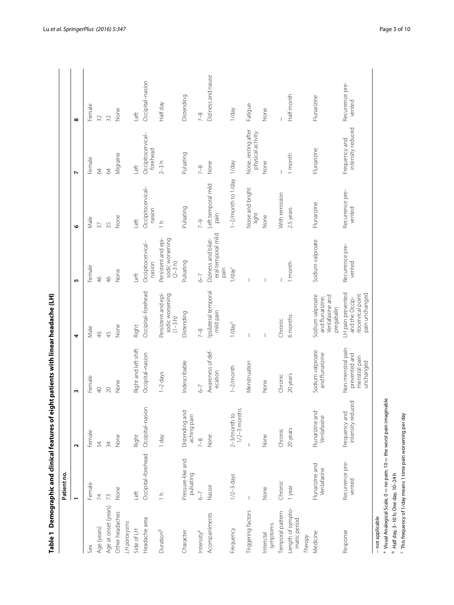<span id="page-2-0"></span>

| I                        |
|--------------------------|
|                          |
|                          |
|                          |
|                          |
|                          |
|                          |
|                          |
|                          |
|                          |
|                          |
|                          |
|                          |
|                          |
|                          |
|                          |
|                          |
|                          |
|                          |
|                          |
|                          |
|                          |
|                          |
|                          |
|                          |
|                          |
|                          |
|                          |
|                          |
|                          |
|                          |
|                          |
|                          |
|                          |
|                          |
|                          |
|                          |
|                          |
|                          |
|                          |
|                          |
|                          |
|                          |
|                          |
|                          |
|                          |
|                          |
|                          |
|                          |
|                          |
|                          |
|                          |
|                          |
|                          |
|                          |
|                          |
|                          |
|                          |
|                          |
|                          |
|                          |
|                          |
|                          |
|                          |
|                          |
|                          |
|                          |
|                          |
|                          |
|                          |
|                          |
|                          |
|                          |
|                          |
|                          |
|                          |
|                          |
|                          |
|                          |
|                          |
|                          |
|                          |
| ١                        |
|                          |
|                          |
|                          |
|                          |
|                          |
|                          |
| I                        |
|                          |
|                          |
|                          |
| $\overline{\phantom{a}}$ |

| Diziness and nause<br>Occipital-nasion<br>Recurrence pre-<br>Half month<br>Distending<br>Flunarizine<br>vented<br>Half day<br>Fatigue<br>Female<br>None<br>1/day<br>None<br>Left<br>$7-8$<br>$\Im$<br>32<br>$\infty$<br>intensity reduced<br>Noise, resting after<br>physical activity<br>Occipitocervical-<br>Frequency and<br>Flunarizine<br>forehead<br>Pulsating<br>Migraine<br>1 month<br>Female<br>$2 - 3 h$<br>None<br>1/day<br>None<br>Let<br>$7 - 8$<br>$\mathcal{Z}$<br>$\mathcal{Z}$<br>N<br>1-2/month to 1/day<br>Left temporal mild<br>Occipitocervical-<br>Noise and bright<br>Recurrence pre-<br>With remission<br>Flunarizine<br>Pulsating<br>vented<br>2.5 years<br>nasion<br>light<br>pain<br>None<br>None<br>Male<br>Left<br>$7 - 9$<br>$\frac{1}{1}$<br>35<br>37<br>$\circ$<br>eral temporal mild<br>Diziness and bilat-<br>Persistent and epi-<br>sodic worsening<br>Sodium valproate<br>Occipitocervical-<br>Recurrence pre-<br>$(2 - 3 h)$<br>Pulsating<br>vented<br>1 month<br>nasion<br>Female<br>$1/\text{day}^c$<br>pain<br>None<br>Left<br>$6 - 7$<br>$\frac{6}{4}$<br>$\frac{4}{5}$<br>LO <sub>1</sub><br>Ipsilateral temporal<br>Occipital-forehead<br>Persistent and epi-<br>sodic worsening<br>LH pain prevented<br>itocervical point<br>pain unchanged<br>Sodium valproate<br>Venlafaxine and<br>and flunarizine;<br>and the Occip-<br>pregabalin<br>mild pain<br>Distending<br>6 months<br>$(1-3 h)$<br>Chronic<br>$1/day^c$<br>None<br>Right<br>Male<br>$7 - 8$<br>45<br>$\frac{4}{5}$<br>4<br>Non-menstral pain<br>Right and left shift<br>Awareness of def-<br>Sodium valproate<br>and flunarizine<br>Occipital-nasion<br>prevented and<br>menstral pain<br>unchanged<br>Indescribable<br>Menstruation<br>$1-2/m$ onth<br>ecation<br>$1 - 2$ days<br>20 years<br>Chronic<br>Female<br>None<br>None<br>$6 - 7$<br>$\gtrsim$<br>$\overline{P}$<br>m<br><sup>a</sup> Visual Analogical Scale, 0 = no pain; 10 = the worst pain imaginable<br>eg.<br>Occipital-nasion<br>$1/2-3$ months<br>intensity reduc<br>Distending and<br>Flunarizine and<br>Frequency and<br>$2-3/m$ on the to<br>aching pain<br>Venlafaxine<br>20 years<br>Chronic<br>Female<br>None<br>None<br>None<br>Right<br>1 day<br>$7 - 8$<br>34<br>54<br>$\mathbf{\Omega}$<br>Occipital-forehead<br>Pressure-like and<br>Recurrence pre-<br>Flunarizine and<br>Venlafaxine<br>Half day, 3-10 h; One day, 10-24 h<br>pulsating<br>$1/2-3$ days<br>vented<br>Chronic<br>Female<br>Nause<br>1 year<br>None<br>None<br>Left<br>$6 - 7$<br>$\frac{1}{1}$<br>73<br>$\overline{\mathcal{X}}$<br>Age at onset (years)<br>ength of sympto-<br>Triggering factors<br>lemporal pattern<br>Other headaches<br>Acompaniments<br>not applicable<br>Headache area<br>matic period<br>LH paroxysms<br>symptoms<br>Age (years)<br>Frequency<br>Side of LH<br>Duration <sup>b</sup><br>Response<br>Character<br>Intensity <sup>a</sup><br>Medicine<br>Interictal<br>Therapy<br>Šex | Patient no. |  |  |  |  |
|-------------------------------------------------------------------------------------------------------------------------------------------------------------------------------------------------------------------------------------------------------------------------------------------------------------------------------------------------------------------------------------------------------------------------------------------------------------------------------------------------------------------------------------------------------------------------------------------------------------------------------------------------------------------------------------------------------------------------------------------------------------------------------------------------------------------------------------------------------------------------------------------------------------------------------------------------------------------------------------------------------------------------------------------------------------------------------------------------------------------------------------------------------------------------------------------------------------------------------------------------------------------------------------------------------------------------------------------------------------------------------------------------------------------------------------------------------------------------------------------------------------------------------------------------------------------------------------------------------------------------------------------------------------------------------------------------------------------------------------------------------------------------------------------------------------------------------------------------------------------------------------------------------------------------------------------------------------------------------------------------------------------------------------------------------------------------------------------------------------------------------------------------------------------------------------------------------------------------------------------------------------------------------------------------------------------------------------------------------------------------------------------------------------------------------------------------------------------------------------------------------------------------------------------------------------------------------------------------------------------------------------------------------------------------------------------------------------------------------------------------------------------------------------------------------------------------------------------------------------------------------------------------------------------------------------------------------------------|-------------|--|--|--|--|
|                                                                                                                                                                                                                                                                                                                                                                                                                                                                                                                                                                                                                                                                                                                                                                                                                                                                                                                                                                                                                                                                                                                                                                                                                                                                                                                                                                                                                                                                                                                                                                                                                                                                                                                                                                                                                                                                                                                                                                                                                                                                                                                                                                                                                                                                                                                                                                                                                                                                                                                                                                                                                                                                                                                                                                                                                                                                                                                                                                   |             |  |  |  |  |
|                                                                                                                                                                                                                                                                                                                                                                                                                                                                                                                                                                                                                                                                                                                                                                                                                                                                                                                                                                                                                                                                                                                                                                                                                                                                                                                                                                                                                                                                                                                                                                                                                                                                                                                                                                                                                                                                                                                                                                                                                                                                                                                                                                                                                                                                                                                                                                                                                                                                                                                                                                                                                                                                                                                                                                                                                                                                                                                                                                   |             |  |  |  |  |
|                                                                                                                                                                                                                                                                                                                                                                                                                                                                                                                                                                                                                                                                                                                                                                                                                                                                                                                                                                                                                                                                                                                                                                                                                                                                                                                                                                                                                                                                                                                                                                                                                                                                                                                                                                                                                                                                                                                                                                                                                                                                                                                                                                                                                                                                                                                                                                                                                                                                                                                                                                                                                                                                                                                                                                                                                                                                                                                                                                   |             |  |  |  |  |
|                                                                                                                                                                                                                                                                                                                                                                                                                                                                                                                                                                                                                                                                                                                                                                                                                                                                                                                                                                                                                                                                                                                                                                                                                                                                                                                                                                                                                                                                                                                                                                                                                                                                                                                                                                                                                                                                                                                                                                                                                                                                                                                                                                                                                                                                                                                                                                                                                                                                                                                                                                                                                                                                                                                                                                                                                                                                                                                                                                   |             |  |  |  |  |
|                                                                                                                                                                                                                                                                                                                                                                                                                                                                                                                                                                                                                                                                                                                                                                                                                                                                                                                                                                                                                                                                                                                                                                                                                                                                                                                                                                                                                                                                                                                                                                                                                                                                                                                                                                                                                                                                                                                                                                                                                                                                                                                                                                                                                                                                                                                                                                                                                                                                                                                                                                                                                                                                                                                                                                                                                                                                                                                                                                   |             |  |  |  |  |
|                                                                                                                                                                                                                                                                                                                                                                                                                                                                                                                                                                                                                                                                                                                                                                                                                                                                                                                                                                                                                                                                                                                                                                                                                                                                                                                                                                                                                                                                                                                                                                                                                                                                                                                                                                                                                                                                                                                                                                                                                                                                                                                                                                                                                                                                                                                                                                                                                                                                                                                                                                                                                                                                                                                                                                                                                                                                                                                                                                   |             |  |  |  |  |
|                                                                                                                                                                                                                                                                                                                                                                                                                                                                                                                                                                                                                                                                                                                                                                                                                                                                                                                                                                                                                                                                                                                                                                                                                                                                                                                                                                                                                                                                                                                                                                                                                                                                                                                                                                                                                                                                                                                                                                                                                                                                                                                                                                                                                                                                                                                                                                                                                                                                                                                                                                                                                                                                                                                                                                                                                                                                                                                                                                   |             |  |  |  |  |
|                                                                                                                                                                                                                                                                                                                                                                                                                                                                                                                                                                                                                                                                                                                                                                                                                                                                                                                                                                                                                                                                                                                                                                                                                                                                                                                                                                                                                                                                                                                                                                                                                                                                                                                                                                                                                                                                                                                                                                                                                                                                                                                                                                                                                                                                                                                                                                                                                                                                                                                                                                                                                                                                                                                                                                                                                                                                                                                                                                   |             |  |  |  |  |
|                                                                                                                                                                                                                                                                                                                                                                                                                                                                                                                                                                                                                                                                                                                                                                                                                                                                                                                                                                                                                                                                                                                                                                                                                                                                                                                                                                                                                                                                                                                                                                                                                                                                                                                                                                                                                                                                                                                                                                                                                                                                                                                                                                                                                                                                                                                                                                                                                                                                                                                                                                                                                                                                                                                                                                                                                                                                                                                                                                   |             |  |  |  |  |
|                                                                                                                                                                                                                                                                                                                                                                                                                                                                                                                                                                                                                                                                                                                                                                                                                                                                                                                                                                                                                                                                                                                                                                                                                                                                                                                                                                                                                                                                                                                                                                                                                                                                                                                                                                                                                                                                                                                                                                                                                                                                                                                                                                                                                                                                                                                                                                                                                                                                                                                                                                                                                                                                                                                                                                                                                                                                                                                                                                   |             |  |  |  |  |
|                                                                                                                                                                                                                                                                                                                                                                                                                                                                                                                                                                                                                                                                                                                                                                                                                                                                                                                                                                                                                                                                                                                                                                                                                                                                                                                                                                                                                                                                                                                                                                                                                                                                                                                                                                                                                                                                                                                                                                                                                                                                                                                                                                                                                                                                                                                                                                                                                                                                                                                                                                                                                                                                                                                                                                                                                                                                                                                                                                   |             |  |  |  |  |
|                                                                                                                                                                                                                                                                                                                                                                                                                                                                                                                                                                                                                                                                                                                                                                                                                                                                                                                                                                                                                                                                                                                                                                                                                                                                                                                                                                                                                                                                                                                                                                                                                                                                                                                                                                                                                                                                                                                                                                                                                                                                                                                                                                                                                                                                                                                                                                                                                                                                                                                                                                                                                                                                                                                                                                                                                                                                                                                                                                   |             |  |  |  |  |
|                                                                                                                                                                                                                                                                                                                                                                                                                                                                                                                                                                                                                                                                                                                                                                                                                                                                                                                                                                                                                                                                                                                                                                                                                                                                                                                                                                                                                                                                                                                                                                                                                                                                                                                                                                                                                                                                                                                                                                                                                                                                                                                                                                                                                                                                                                                                                                                                                                                                                                                                                                                                                                                                                                                                                                                                                                                                                                                                                                   |             |  |  |  |  |
|                                                                                                                                                                                                                                                                                                                                                                                                                                                                                                                                                                                                                                                                                                                                                                                                                                                                                                                                                                                                                                                                                                                                                                                                                                                                                                                                                                                                                                                                                                                                                                                                                                                                                                                                                                                                                                                                                                                                                                                                                                                                                                                                                                                                                                                                                                                                                                                                                                                                                                                                                                                                                                                                                                                                                                                                                                                                                                                                                                   |             |  |  |  |  |
|                                                                                                                                                                                                                                                                                                                                                                                                                                                                                                                                                                                                                                                                                                                                                                                                                                                                                                                                                                                                                                                                                                                                                                                                                                                                                                                                                                                                                                                                                                                                                                                                                                                                                                                                                                                                                                                                                                                                                                                                                                                                                                                                                                                                                                                                                                                                                                                                                                                                                                                                                                                                                                                                                                                                                                                                                                                                                                                                                                   |             |  |  |  |  |
|                                                                                                                                                                                                                                                                                                                                                                                                                                                                                                                                                                                                                                                                                                                                                                                                                                                                                                                                                                                                                                                                                                                                                                                                                                                                                                                                                                                                                                                                                                                                                                                                                                                                                                                                                                                                                                                                                                                                                                                                                                                                                                                                                                                                                                                                                                                                                                                                                                                                                                                                                                                                                                                                                                                                                                                                                                                                                                                                                                   |             |  |  |  |  |
|                                                                                                                                                                                                                                                                                                                                                                                                                                                                                                                                                                                                                                                                                                                                                                                                                                                                                                                                                                                                                                                                                                                                                                                                                                                                                                                                                                                                                                                                                                                                                                                                                                                                                                                                                                                                                                                                                                                                                                                                                                                                                                                                                                                                                                                                                                                                                                                                                                                                                                                                                                                                                                                                                                                                                                                                                                                                                                                                                                   |             |  |  |  |  |
|                                                                                                                                                                                                                                                                                                                                                                                                                                                                                                                                                                                                                                                                                                                                                                                                                                                                                                                                                                                                                                                                                                                                                                                                                                                                                                                                                                                                                                                                                                                                                                                                                                                                                                                                                                                                                                                                                                                                                                                                                                                                                                                                                                                                                                                                                                                                                                                                                                                                                                                                                                                                                                                                                                                                                                                                                                                                                                                                                                   |             |  |  |  |  |
|                                                                                                                                                                                                                                                                                                                                                                                                                                                                                                                                                                                                                                                                                                                                                                                                                                                                                                                                                                                                                                                                                                                                                                                                                                                                                                                                                                                                                                                                                                                                                                                                                                                                                                                                                                                                                                                                                                                                                                                                                                                                                                                                                                                                                                                                                                                                                                                                                                                                                                                                                                                                                                                                                                                                                                                                                                                                                                                                                                   |             |  |  |  |  |
|                                                                                                                                                                                                                                                                                                                                                                                                                                                                                                                                                                                                                                                                                                                                                                                                                                                                                                                                                                                                                                                                                                                                                                                                                                                                                                                                                                                                                                                                                                                                                                                                                                                                                                                                                                                                                                                                                                                                                                                                                                                                                                                                                                                                                                                                                                                                                                                                                                                                                                                                                                                                                                                                                                                                                                                                                                                                                                                                                                   |             |  |  |  |  |
|                                                                                                                                                                                                                                                                                                                                                                                                                                                                                                                                                                                                                                                                                                                                                                                                                                                                                                                                                                                                                                                                                                                                                                                                                                                                                                                                                                                                                                                                                                                                                                                                                                                                                                                                                                                                                                                                                                                                                                                                                                                                                                                                                                                                                                                                                                                                                                                                                                                                                                                                                                                                                                                                                                                                                                                                                                                                                                                                                                   |             |  |  |  |  |
|                                                                                                                                                                                                                                                                                                                                                                                                                                                                                                                                                                                                                                                                                                                                                                                                                                                                                                                                                                                                                                                                                                                                                                                                                                                                                                                                                                                                                                                                                                                                                                                                                                                                                                                                                                                                                                                                                                                                                                                                                                                                                                                                                                                                                                                                                                                                                                                                                                                                                                                                                                                                                                                                                                                                                                                                                                                                                                                                                                   |             |  |  |  |  |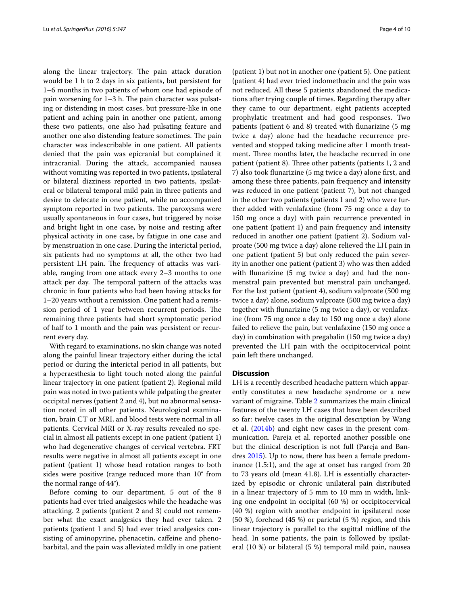along the linear trajectory. The pain attack duration would be 1 h to 2 days in six patients, but persistent for 1–6 months in two patients of whom one had episode of pain worsening for 1–3 h. The pain character was pulsating or distending in most cases, but pressure-like in one patient and aching pain in another one patient, among these two patients, one also had pulsating feature and another one also distending feature sometimes. The pain character was indescribable in one patient. All patients denied that the pain was epicranial but complained it intracranial. During the attack, accompanied nausea without vomiting was reported in two patients, ipsilateral or bilateral dizziness reported in two patients, ipsilateral or bilateral temporal mild pain in three patients and desire to defecate in one patient, while no accompanied symptom reported in two patients. The paroxysms were usually spontaneous in four cases, but triggered by noise and bright light in one case, by noise and resting after physical activity in one case, by fatigue in one case and by menstruation in one case. During the interictal period, six patients had no symptoms at all, the other two had persistent LH pain. The frequency of attacks was variable, ranging from one attack every 2–3 months to one attack per day. The temporal pattern of the attacks was chronic in four patients who had been having attacks for 1–20 years without a remission. One patient had a remission period of 1 year between recurrent periods. The remaining three patients had short symptomatic period of half to 1 month and the pain was persistent or recurrent every day.

With regard to examinations, no skin change was noted along the painful linear trajectory either during the ictal period or during the interictal period in all patients, but a hyperaesthesia to light touch noted along the painful linear trajectory in one patient (patient 2). Regional mild pain was noted in two patients while palpating the greater occipital nerves (patient 2 and 4), but no abnormal sensation noted in all other patients. Neurological examination, brain CT or MRI, and blood tests were normal in all patients. Cervical MRI or X-ray results revealed no special in almost all patients except in one patient (patient 1) who had degenerative changes of cervical vertebra. FRT results were negative in almost all patients except in one patient (patient 1) whose head rotation ranges to both sides were positive (range reduced more than 10° from the normal range of 44°).

Before coming to our department, 5 out of the 8 patients had ever tried analgesics while the headache was attacking. 2 patients (patient 2 and 3) could not remember what the exact analgesics they had ever taken. 2 patients (patient 1 and 5) had ever tried analgesics consisting of aminopyrine, phenacetin, caffeine and phenobarbital, and the pain was alleviated mildly in one patient

(patient 1) but not in another one (patient 5). One patient (patient 4) had ever tried indomethacin and the pain was not reduced. All these 5 patients abandoned the medications after trying couple of times. Regarding therapy after they came to our department, eight patients accepted prophylatic treatment and had good responses. Two patients (patient 6 and 8) treated with flunarizine (5 mg twice a day) alone had the headache recurrence prevented and stopped taking medicine after 1 month treatment. Three months later, the headache recurred in one patient (patient 8). Three other patients (patients 1, 2 and 7) also took flunarizine (5 mg twice a day) alone first, and among these three patients, pain frequency and intensity was reduced in one patient (patient 7), but not changed in the other two patients (patients 1 and 2) who were further added with venlafaxine (from 75 mg once a day to 150 mg once a day) with pain recurrence prevented in one patient (patient 1) and pain frequency and intensity reduced in another one patient (patient 2). Sodium valproate (500 mg twice a day) alone relieved the LH pain in one patient (patient 5) but only reduced the pain severity in another one patient (patient 3) who was then added with flunarizine (5 mg twice a day) and had the nonmenstral pain prevented but menstral pain unchanged. For the last patient (patient 4), sodium valproate (500 mg twice a day) alone, sodium valproate (500 mg twice a day) together with flunarizine (5 mg twice a day), or venlafaxine (from 75 mg once a day to 150 mg once a day) alone failed to relieve the pain, but venlafaxine (150 mg once a day) in combination with pregabalin (150 mg twice a day) prevented the LH pain with the occipitocervical point pain left there unchanged.

## **Discussion**

LH is a recently described headache pattern which apparently constitutes a new headache syndrome or a new variant of migraine. Table [2](#page-4-0) summarizes the main clinical features of the twenty LH cases that have been described so far: twelve cases in the original description by Wang et al. ([2014b\)](#page-9-0) and eight new cases in the present communication. Pareja et al. reported another possible one but the clinical description is not full (Pareja and Bandres [2015\)](#page-8-0). Up to now, there has been a female predominance (1.5:1), and the age at onset has ranged from 20 to 73 years old (mean 41.8). LH is essentially characterized by episodic or chronic unilateral pain distributed in a linear trajectory of 5 mm to 10 mm in width, linking one endpoint in occipital (60 %) or occipitocervical (40 %) region with another endpoint in ipsilateral nose (50 %), forehead (45 %) or parietal (5 %) region, and this linear trajectory is parallel to the sagittal midline of the head. In some patients, the pain is followed by ipsilateral (10 %) or bilateral (5 %) temporal mild pain, nausea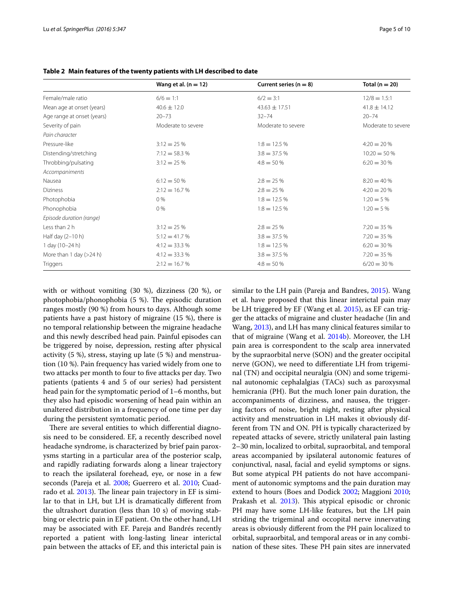|                              | Wang et al. $(n = 12)$ | Current series ( $n = 8$ ) | Total ( $n = 20$ ) |
|------------------------------|------------------------|----------------------------|--------------------|
| Female/male ratio            | $6/6 = 1:1$            | $6/2 = 3:1$                | $12/8 = 1.5:1$     |
| Mean age at onset (years)    | $40.6 \pm 12.0$        | $43.63 \pm 17.51$          | $41.8 \pm 14.12$   |
| Age range at onset (years)   | $20 - 73$              | $32 - 74$                  | $20 - 74$          |
| Severity of pain             | Moderate to severe     | Moderate to severe         | Moderate to severe |
| Pain character               |                        |                            |                    |
| Pressure-like                | $3:12 = 25%$           | $1:8 = 12.5%$              | $4:20 = 20%$       |
| Distending/stretching        | $7:12 = 58.3%$         | $3:8 = 37.5%$              | $10:20 = 50%$      |
| Throbbing/pulsating          | $3:12 = 25%$           | $4:8 = 50\%$               | $6:20 = 30\%$      |
| Accompaniments               |                        |                            |                    |
| Nausea                       | $6:12 = 50%$           | $2:8 = 25%$                | $8:20 = 40%$       |
| <b>Diziness</b>              | $2:12 = 16.7%$         | $2:8 = 25%$                | $4:20 = 20%$       |
| Photophobia                  | 0%                     | $1:8 = 12.5%$              | $1:20 = 5%$        |
| Phonophobia                  | 0%                     | $1:8 = 12.5%$              | $1:20 = 5%$        |
| Episode duration (range)     |                        |                            |                    |
| Less than 2 h                | $3:12 = 25%$           | $2:8 = 25%$                | $7:20 = 35%$       |
| Half day $(2-10 h)$          | $5:12 = 41.7%$         | $3:8 = 37.5%$              | $7:20 = 35%$       |
| 1 day (10-24 h)              | $4:12 = 33.3%$         | $1:8 = 12.5%$              | $6:20 = 30%$       |
| More than $1$ day ( $>24$ h) | $4:12 = 33.3%$         | $3:8 = 37.5%$              | $7:20 = 35%$       |
| <b>Triggers</b>              | $2:12 = 16.7%$         | $4:8 = 50\%$               | $6/20 = 30\%$      |

<span id="page-4-0"></span>**Table 2 Main features of the twenty patients with LH described to date**

with or without vomiting (30 %), dizziness (20 %), or photophobia/phonophobia (5 %). The episodic duration ranges mostly (90 %) from hours to days. Although some patients have a past history of migraine (15 %), there is no temporal relationship between the migraine headache and this newly described head pain. Painful episodes can be triggered by noise, depression, resting after physical activity (5 %), stress, staying up late (5 %) and menstruation (10 %). Pain frequency has varied widely from one to two attacks per month to four to five attacks per day. Two patients (patients 4 and 5 of our series) had persistent head pain for the symptomatic period of 1–6 months, but they also had episodic worsening of head pain within an unaltered distribution in a frequency of one time per day during the persistent symtomatic period.

There are several entities to which differential diagnosis need to be considered. EF, a recently described novel headache syndrome, is characterized by brief pain paroxysms starting in a particular area of the posterior scalp, and rapidly radiating forwards along a linear trajectory to reach the ipsilateral forehead, eye, or nose in a few seconds (Pareja et al. [2008](#page-8-10); Guerrero et al. [2010](#page-8-11); Cuadrado et al. [2013](#page-8-12)). The linear pain trajectory in EF is similar to that in LH, but LH is dramatically different from the ultrashort duration (less than 10 s) of moving stabbing or electric pain in EF patient. On the other hand, LH may be associated with EF. Pareja and Bandrés recently reported a patient with long-lasting linear interictal pain between the attacks of EF, and this interictal pain is similar to the LH pain (Pareja and Bandres, [2015](#page-8-0)). Wang et al. have proposed that this linear interictal pain may be LH triggered by EF (Wang et al. [2015\)](#page-9-1), as EF can trigger the attacks of migraine and cluster headache (Jin and Wang, [2013](#page-8-13)), and LH has many clinical features similar to that of migraine (Wang et al. [2014b\)](#page-9-0). Moreover, the LH pain area is correspondent to the scalp area innervated by the supraorbital nerve (SON) and the greater occipital nerve (GON), we need to differentiate LH from trigeminal (TN) and occipital neuralgia (ON) and some trigeminal autonomic cephalalgias (TACs) such as paroxysmal hemicrania (PH). But the much loner pain duration, the accompaniments of dizziness, and nausea, the triggering factors of noise, bright night, resting after physical activity and menstruation in LH makes it obviously different from TN and ON. PH is typically characterized by repeated attacks of severe, strictly unilateral pain lasting 2–30 min, localized to orbital, supraorbital, and temporal areas accompanied by ipsilateral autonomic features of conjunctival, nasal, facial and eyelid symptoms or signs. But some atypical PH patients do not have accompaniment of autonomic symptoms and the pain duration may extend to hours (Boes and Dodick [2002](#page-8-14); Maggioni [2010](#page-8-15); Prakash et al. [2013](#page-8-16)). This atypical episodic or chronic PH may have some LH-like features, but the LH pain striding the trigeminal and occopital nerve innervating areas is obviously different from the PH pain localized to orbital, supraorbital, and temporal areas or in any combination of these sites. These PH pain sites are innervated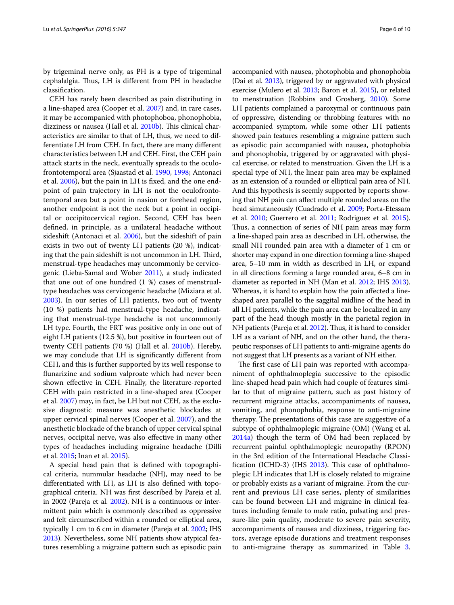by trigeminal nerve only, as PH is a type of trigeminal cephalalgia. Thus, LH is different from PH in headache classification.

CEH has rarely been described as pain distributing in a line-shaped area (Cooper et al. [2007\)](#page-8-1) and, in rare cases, it may be accompanied with photophoboa, phonophobia, dizziness or nausea (Hall et al. [2010b](#page-8-5)). This clinical characteristics are similar to that of LH, thus, we need to differentiate LH from CEH. In fact, there are many different characteristics between LH and CEH. First, the CEH pain attack starts in the neck, eventually spreads to the oculofrontotemporal area (Sjaastad et al. [1990](#page-8-17), [1998;](#page-9-2) Antonaci et al. [2006\)](#page-8-18), but the pain in LH is fixed, and the one endpoint of pain trajectory in LH is not the oculofrontotemporal area but a point in nasion or forehead region, another endpoint is not the neck but a point in occipital or occipitocervical region. Second, CEH has been defined, in principle, as a unilateral headache without sideshift (Antonaci et al. [2006\)](#page-8-18), but the sideshift of pain exists in two out of twenty LH patients (20 %), indicating that the pain sideshift is not uncommon in LH. Third, menstrual-type headaches may uncommonly be cervicogenic (Lieba-Samal and Wober [2011](#page-8-19)), a study indicated that one out of one hundred (1 %) cases of menstrualtype headaches was cervicogenic headache (Miziara et al. [2003](#page-8-20)). In our series of LH patients, two out of twenty (10 %) patients had menstrual-type headache, indicating that menstrual-type headache is not uncommonly LH type. Fourth, the FRT was positive only in one out of eight LH patients (12.5 %), but positive in fourteen out of twenty CEH patients (70 %) (Hall et al. [2010b](#page-8-5)). Hereby, we may conclude that LH is significantly different from CEH, and this is further supported by its well response to flunarizine and sodium valproate which had never been shown effective in CEH. Finally, the literature-reported CEH with pain restricted in a line-shaped area (Cooper et al. [2007](#page-8-1)) may, in fact, be LH but not CEH, as the exclusive diagnostic measure was anesthetic blockades at upper cervical spinal nerves (Cooper et al. [2007\)](#page-8-1), and the anesthetic blockade of the branch of upper cervical spinal nerves, occipital nerve, was also effective in many other types of headaches including migraine headache (Dilli et al. [2015;](#page-8-21) Inan et al. [2015\)](#page-8-22).

A special head pain that is defined with topographical criteria, nummular headache (NH), may need to be differentiated with LH, as LH is also defined with topographical criteria. NH was first described by Pareja et al. in 2002 (Pareja et al. [2002](#page-8-23)). NH is a continuous or intermittent pain which is commonly described as oppressive and felt circumscribed within a rounded or elliptical area, typically 1 cm to 6 cm in diameter (Pareja et al. [2002;](#page-8-23) IHS [2013\)](#page-8-9). Nevertheless, some NH patients show atypical features resembling a migraine pattern such as episodic pain

accompanied with nausea, photophobia and phonophobia (Dai et al. [2013\)](#page-8-24), triggered by or aggravated with physical exercise (Mulero et al. [2013;](#page-8-25) Baron et al. [2015](#page-8-26)), or related to menstruation (Robbins and Grosberg, [2010](#page-8-27)). Some LH patients complained a paroxymal or continuous pain of oppressive, distending or throbbing features with no accompanied symptom, while some other LH patients showed pain features resembling a migraine pattern such as episodic pain accompanied with nausea, photophobia and phonophobia, triggered by or aggravated with physical exercise, or related to menstruation. Given the LH is a special type of NH, the linear pain area may be explained as an extension of a rounded or elliptical pain area of NH. And this hypothesis is seemly supported by reports showing that NH pain can affect multiple rounded areas on the head simutaneously (Cuadrado et al. [2009](#page-8-28); Porta-Etessam et al. [2010](#page-8-29); Guerrero et al. [2011;](#page-8-30) Rodriguez et al. [2015](#page-8-31)). Thus, a connection of series of NH pain areas may form a line-shaped pain area as described in LH, otherwise, the small NH rounded pain area with a diameter of 1 cm or shorter may expand in one direction forming a line-shaped area, 5–10 mm in width as described in LH, or expand in all directions forming a large rounded area, 6–8 cm in diameter as reported in NH (Man et al. [2012;](#page-8-32) IHS [2013](#page-8-9)). Whereas, it is hard to explain how the pain affected a lineshaped area parallel to the saggital midline of the head in all LH patients, while the pain area can be localized in any part of the head though mostly in the parietal region in NH patients (Pareja et al. [2012\)](#page-8-33). Thus, it is hard to consider LH as a variant of NH, and on the other hand, the therapeutic responses of LH patients to anti-migraine agents do not suggest that LH presents as a variant of NH either.

The first case of LH pain was reported with accompaniment of ophthalmoplegia successive to the episodic line-shaped head pain which had couple of features similar to that of migraine pattern, such as past history of recurrent migraine attacks, accompaniments of nausea, vomiting, and phonophobia, response to anti-migraine therapy. The presentations of this case are suggestive of a subtype of ophthalmoplegic migraine (OM) (Wang et al. [2014a\)](#page-9-3) though the term of OM had been replaced by recurrent painful ophthalmoplegic neuropathy (RPON) in the 3rd edition of the International Headache Classification (ICHD-3) (IHS [2013](#page-8-9)). This case of ophthalmoplegic LH indicates that LH is closely related to migraine or probably exists as a variant of migraine. From the current and previous LH case series, plenty of similarities can be found between LH and migraine in clinical features including female to male ratio, pulsating and pressure-like pain quality, moderate to severe pain severity, accompaniments of nausea and dizziness, triggering factors, average episode durations and treatment responses to anti-migraine therapy as summarized in Table [3](#page-6-0).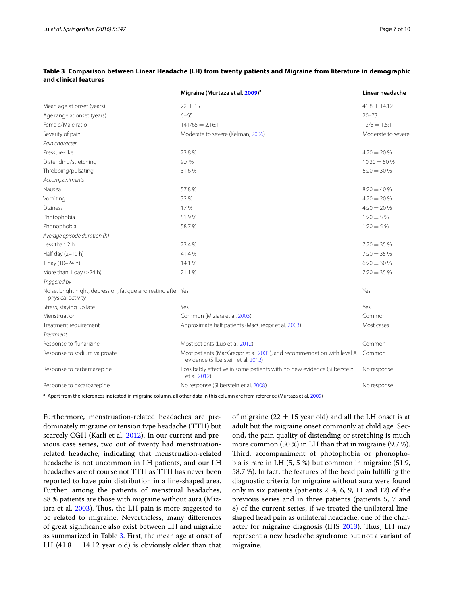|                                                                                     | Migraine (Murtaza et al. 2009) <sup>a</sup>                                                                  | Linear headache    |
|-------------------------------------------------------------------------------------|--------------------------------------------------------------------------------------------------------------|--------------------|
| Mean age at onset (years)                                                           | $22 \pm 15$                                                                                                  | $41.8 \pm 14.12$   |
| Age range at onset (years)                                                          | $6 - 65$                                                                                                     | $20 - 73$          |
| Female/Male ratio                                                                   | $141/65 = 2.16:1$                                                                                            | $12/8 = 1.5:1$     |
| Severity of pain                                                                    | Moderate to severe (Kelman, 2006)                                                                            | Moderate to severe |
| Pain character                                                                      |                                                                                                              |                    |
| Pressure-like                                                                       | 23.8%                                                                                                        | $4:20 = 20%$       |
| Distending/stretching                                                               | 9.7%                                                                                                         | $10:20 = 50%$      |
| Throbbing/pulsating                                                                 | 31.6%                                                                                                        | $6:20 = 30%$       |
| Accompaniments                                                                      |                                                                                                              |                    |
| Nausea                                                                              | 57.8%                                                                                                        | $8:20 = 40%$       |
| Vomiting                                                                            | 32 %                                                                                                         | $4:20 = 20%$       |
| <b>Diziness</b>                                                                     | 17%                                                                                                          | $4:20 = 20%$       |
| Photophobia                                                                         | 51.9%                                                                                                        | $1:20 = 5%$        |
| Phonophobia                                                                         | 58.7%                                                                                                        | $1:20 = 5%$        |
| Average episode duration (h)                                                        |                                                                                                              |                    |
| Less than 2 h                                                                       | 23.4 %                                                                                                       | $7:20 = 35%$       |
| Half day (2-10 h)                                                                   | 41.4%                                                                                                        | $7:20 = 35%$       |
| 1 day (10-24 h)                                                                     | 14.1 %                                                                                                       | $6:20 = 30%$       |
| More than 1 day (>24 h)                                                             | 21.1%                                                                                                        | $7:20 = 35%$       |
| Triggered by                                                                        |                                                                                                              |                    |
| Noise, bright night, depression, fatigue and resting after Yes<br>physical activity |                                                                                                              | Yes                |
| Stress, staying up late                                                             | Yes                                                                                                          | Yes                |
| Menstruation                                                                        | Common (Miziara et al. 2003)                                                                                 | Common             |
| Treatment requirement                                                               | Approximate half patients (MacGregor et al. 2003)                                                            | Most cases         |
| Treatment                                                                           |                                                                                                              |                    |
| Response to flunarizine                                                             | Most patients (Luo et al. 2012)                                                                              | Common             |
| Response to sodium valproate                                                        | Most patients (MacGregor et al. 2003), and recommendation with level A<br>evidence (Silberstein et al. 2012) | Common             |
| Response to carbamazepine                                                           | Possibably effective in some patients with no new evidence (Silberstein<br>et al. 2012)                      | No response        |
| Response to oxcarbazepine                                                           | No response (Silberstein et al. 2008)                                                                        | No response        |

## <span id="page-6-0"></span>**Table 3 Comparison between Linear Headache (LH) from twenty patients and Migraine from literature in demographic and clinical features**

<sup>a</sup> Apart from the references indicated in migraine column, all other data in this column are from reference (Murtaza et al. [2009\)](#page-8-35)

Furthermore, menstruation-related headaches are predominately migraine or tension type headache (TTH) but scarcely CGH (Karli et al. [2012](#page-8-34)). In our current and previous case series, two out of twenty had menstruationrelated headache, indicating that menstruation-related headache is not uncommon in LH patients, and our LH headaches are of course not TTH as TTH has never been reported to have pain distribution in a line-shaped area. Further, among the patients of menstrual headaches, 88 % patients are those with migraine without aura (Miziara et al. [2003\)](#page-8-20). Thus, the LH pain is more suggested to be related to migraine. Nevertheless, many differences of great significance also exist between LH and migraine as summarized in Table [3.](#page-6-0) First, the mean age at onset of LH (41.8  $\pm$  14.12 year old) is obviously older than that of migraine (22  $\pm$  15 year old) and all the LH onset is at adult but the migraine onset commonly at child age. Second, the pain quality of distending or stretching is much more common (50 %) in LH than that in migraine (9.7 %). Third, accompaniment of photophobia or phonophobia is rare in LH (5, 5 %) but common in migraine (51.9, 58.7 %). In fact, the features of the head pain fulfilling the diagnostic criteria for migraine without aura were found only in six patients (patients 2, 4, 6, 9, 11 and 12) of the previous series and in three patients (patients 5, 7 and 8) of the current series, if we treated the unilateral lineshaped head pain as unilateral headache, one of the character for migraine diagnosis (IHS [2013](#page-8-9)). Thus, LH may represent a new headache syndrome but not a variant of migraine.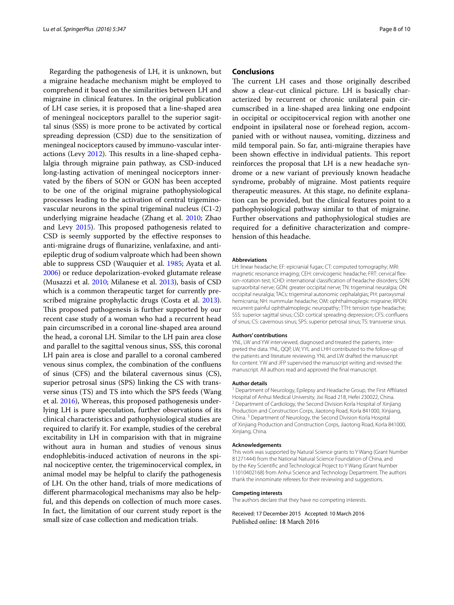Regarding the pathogenesis of LH, it is unknown, but a migraine headache mechanism might be employed to comprehend it based on the similarities between LH and migraine in clinical features. In the original publication of LH case series, it is proposed that a line-shaped area of meningeal nociceptors parallel to the superior sagittal sinus (SSS) is more prone to be activated by cortical spreading depression (CSD) due to the sensitization of meningeal nociceptors caused by immuno-vascular interactions (Levy [2012](#page-8-41)). This results in a line-shaped cephalalgia through migraine pain pathway, as CSD-induced long-lasting activation of meningeal nociceptors innervated by the fibers of SON or GON has been accepted to be one of the original migraine pathophysiological processes leading to the activation of central trigeminovascular neurons in the spinal trigeminal nucleus (C1-2) underlying migraine headache (Zhang et al. [2010](#page-9-4); Zhao and Levy [2015](#page-9-5)). This proposed pathogenesis related to CSD is seemly supported by the effective responses to anti-migraine drugs of flunarizine, venlafaxine, and antiepileptic drug of sodium valproate which had been shown able to suppress CSD (Wauquier et al. [1985;](#page-9-6) Ayata et al. [2006](#page-8-42)) or reduce depolarization-evoked glutamate release (Musazzi et al. [2010](#page-8-43); Milanese et al. [2013\)](#page-8-44), basis of CSD which is a common therapeutic target for currently prescribed migraine prophylactic drugs (Costa et al. [2013](#page-8-45)). This proposed pathogenesis is further supported by our recent case study of a woman who had a recurrent head pain circumscribed in a coronal line-shaped area around the head, a coronal LH. Similar to the LH pain area close and parallel to the sagittal venous sinus, SSS, this coronal LH pain area is close and parallel to a coronal cambered venous sinus complex, the combination of the confluens of sinus (CFS) and the bilateral cavernous sinus (CS), superior petrosal sinus (SPS) linking the CS with transverse sinus (TS) and TS into which the SPS feeds (Wang et al. [2016\)](#page-9-7), Whereas, this proposed pathogenesis underlying LH is pure speculation, further observations of its clinical characteristics and pathophysiological studies are required to clarify it. For example, studies of the cerebral excitability in LH in comparision with that in migraine without aura in human and studies of venous sinus endophlebitis-induced activation of neurons in the spinal nociceptive center, the trigeminocervical complex, in animal model may be helpful to clarify the pathogenesis of LH. On the other hand, trials of more medications of different pharmacological mechanisms may also be helpful, and this depends on collection of much more cases. In fact, the limitation of our current study report is the small size of case collection and medication trials.

#### **Conclusions**

The current LH cases and those originally described show a clear-cut clinical picture. LH is basically characterized by recurrent or chronic unilateral pain circumscribed in a line-shaped area linking one endpoint in occipital or occipitocervical region with another one endpoint in ipsilateral nose or forehead region, accompanied with or without nausea, vomiting, dizziness and mild temporal pain. So far, anti-migraine therapies have been shown effective in individual patients. This report reinforces the proposal that LH is a new headache syndrome or a new variant of previously known headache syndrome, probably of migraine. Most patients require therapeutic measures. At this stage, no definite explanation can be provided, but the clinical features point to a pathophysiological pathway similar to that of migraine. Further observations and pathophysiological studies are required for a definitive characterization and comprehension of this headache.

#### **Abbreviations**

LH: linear headache; EF: epicranial fugax; CT: computed tomography; MRI: magnetic resonance imaging; CEH: cervicogenic headache; FRT: cervical flex‑ ion–rotation test; ICHD: international classification of headache disorders; SON: supraorbital nerve; GON: greater occipital nerve; TN: trigeminal neuralgia; ON: occipital neuralgia; TACs: trigeminal autonomic cephalalgias; PH: paroxysmal hemicrania; NH: nummular headache; OM: ophthalmoplegic migraine; RPON: recurrent painful ophthalmoplegic neuropathy; TTH: tension type headache; SSS: superior sagittal sinus; CSD: cortical spreading depression; CFS: confluens of sinus; CS: cavernous sinus; SPS: superior petrosal sinus; TS: transverse sinus.

#### **Authors' contributions**

YNL, LW and YW interviewed, diagnosed and treated the patients, interpreted the data. YNL, QQP, LW, YYL and LHH contributed to the follow-up of the patients and literature reviewing. YNL and LW drafted the manuscript for content. YW and JFP supervised the manuscript writing and revised the manuscript. All authors read and approved the final manuscript.

#### **Author details**

<sup>1</sup> Department of Neurology, Epilepsy and Headache Group, the First Affiliated<br>Hospital of Anhui Medical University, Jixi Road 218, Hefei 230022, China. <sup>2</sup> Department of Cardiology, the Second Division Korla Hospital of Xinjiang Production and Construction Corps, Jiaotong Road, Korla 841000, Xinjiang, China. <sup>3</sup> Department of Neurology, the Second Division Korla Hospital of Xinjiang Production and Construction Corps, Jiaotong Road, Korla 841000, Xinjiang, China.

#### **Acknowledgements**

This work was supported by Natural Science grants to Y Wang (Grant Number 81271444) from the National Natural Science Foundation of China, and by the Key Scientific and Technological Project to Y Wang (Grant Number 11010402168) from Anhui Science and Technology Department. The authors thank the innominate referees for their reviewing and suggestions.

#### **Competing interests**

The authors declare that they have no competing interests.

Received: 17 December 2015 Accepted: 10 March 2016Published online: 18 March 2016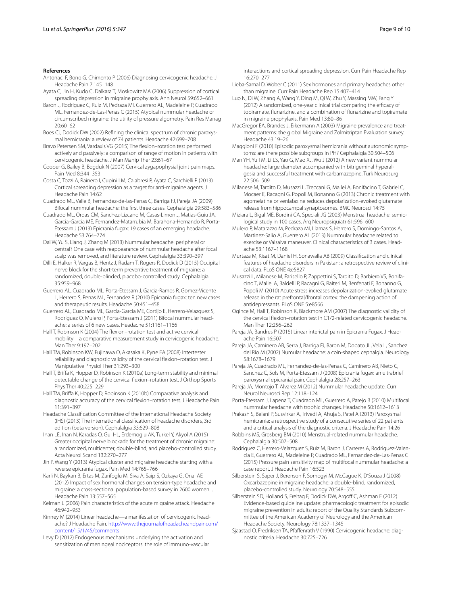#### **References**

<span id="page-8-18"></span>Antonaci F, Bono G, Chimento P (2006) Diagnosing cervicogenic headache. J Headache Pain 7:145–148

<span id="page-8-42"></span>Ayata C, Jin H, Kudo C, Dalkara T, Moskowitz MA (2006) Suppression of cortical spreading depression in migraine prophylaxis. Ann Neurol 59:652–661

<span id="page-8-26"></span>Baron J, Rodriguez C, Ruiz M, Pedraza MI, Guerrero AL, Madeleine P, Cuadrado ML, Fernandez-de-Las-Penas C (2015) Atypical nummular headache or circumscribed migraine: the utility of pressure algometry. Pain Res Manag 20:60–62

<span id="page-8-14"></span>Boes CJ, Dodick DW (2002) Refining the clinical spectrum of chronic paroxysmal hemicrania: a review of 74 patients. Headache 42:699–708

<span id="page-8-6"></span>Bravo Petersen SM, Vardaxis VG (2015) The flexion–rotation test performed actively and passively: a comparison of range of motion in patients with cervicogenic headache. J Man Manip Ther 23:61–67

<span id="page-8-1"></span>Cooper G, Bailey B, Bogduk N (2007) Cervical zygapophysial joint pain maps. Pain Med 8:344–353

<span id="page-8-45"></span>Costa C, Tozzi A, Rainero I, Cupini LM, Calabresi P, Ayata C, Sarchielli P (2013) Cortical spreading depression as a target for anti-migraine agents. J Headache Pain 14:62

<span id="page-8-28"></span>Cuadrado ML, Valle B, Fernandez-de-las-Penas C, Barriga FJ, Pareja JA (2009) Bifocal nummular headache: the first three cases. Cephalalgia 29:583–586

<span id="page-8-12"></span>Cuadrado ML, Ordas CM, Sanchez-Lizcano M, Casas-Limon J, Matias-Guiu JA, Garcia-Garcia ME, Fernandez-Matarrubia M, Barahona-Hernando R, Porta-Etessam J (2013) Epicrania fugax: 19 cases of an emerging headache. Headache 53:764–774

<span id="page-8-24"></span>Dai W, Yu S, Liang J, Zhang M (2013) Nummular headache: peripheral or central? One case with reappearance of nummular headache after focal scalp was removed, and literature review. Cephalalgia 33:390–397

<span id="page-8-21"></span>Dilli E, Halker R, Vargas B, Hentz J, Radam T, Rogers R, Dodick D (2015) Occipital nerve block for the short-term preventive treatment of migraine: a randomized, double-blinded, placebo-controlled study. Cephalalgia 35:959–968

<span id="page-8-11"></span>Guerrero AL, Cuadrado ML, Porta-Etessam J, Garcia-Ramos R, Gomez-Vicente L, Herrero S, Penas ML, Fernandez R (2010) Epicrania fugax: ten new cases and therapeutic results. Headache 50:451–458

<span id="page-8-30"></span>Guerrero AL, Cuadrado ML, Garcia-Garcia ME, Cortijo E, Herrero-Velazquez S, Rodriguez O, Mulero P, Porta-Etessam J (2011) Bifocal nummular headache: a series of 6 new cases. Headache 51:1161–1166

<span id="page-8-8"></span>Hall T, Robinson K (2004) The flexion–rotation test and active cervical mobility—a comparative measurement study in cervicogenic headache. Man Ther 9:197–202

<span id="page-8-3"></span>Hall TM, Robinson KW, Fujinawa O, Akasaka K, Pyne EA (2008) Intertester reliability and diagnostic validity of the cervical flexion–rotation test. J Manipulative Physiol Ther 31:293–300

<span id="page-8-4"></span>Hall T, Briffa K, Hopper D, Robinson K (2010a) Long-term stability and minimal detectable change of the cervical flexion–rotation test. J Orthop Sports Phys Ther 40:225–229

<span id="page-8-5"></span>Hall TM, Briffa K, Hopper D, Robinson K (2010b) Comparative analysis and diagnostic accuracy of the cervical flexion–rotation test. J Headache Pain 11:391–397

<span id="page-8-9"></span>Headache Classification Committee of the International Headache Society (IHS) (2013) The international classification of headache disorders, 3rd edition (beta version). Cephalalgia 33:629–808

<span id="page-8-22"></span>Inan LE, Inan N, Karadas O, Gul HL, Erdemoglu AK, Turkel Y, Akyol A (2015) Greater occipital nerve blockade for the treatment of chronic migraine: a randomized, multicenter, double-blind, and placebo-controlled study. Acta Neurol Scand 132:270–277

<span id="page-8-13"></span>Jin P, Wang Y (2013) Atypical cluster and migraine headache starting with a reverse epicrania fugax. Pain Med 14:765–766

<span id="page-8-34"></span>Karli N, Baykan B, Ertas M, Zarifoglu M, Siva A, Saip S, Ozkaya G, Onal AE (2012) Impact of sex hormonal changes on tension-type headache and migraine: a cross-sectional population-based survey in 2600 women. J Headache Pain 13:557–565

<span id="page-8-36"></span>Kelman L (2006) Pain characteristics of the acute migraine attack. Headache 46:942–953

<span id="page-8-7"></span>Kinney M (2014) Linear headache—a manifestation of cervicogenic headache? J Headache Pain. [http://www.thejournalofheadacheandpaincom/](http://www.thejournalofheadacheandpaincom/content/15/1/45/comments) [content/15/1/45/comments](http://www.thejournalofheadacheandpaincom/content/15/1/45/comments)

<span id="page-8-41"></span>Levy D (2012) Endogenous mechanisms underlying the activation and sensitization of meningeal nociceptors: the role of immuno-vascular interactions and cortical spreading depression. Curr Pain Headache Rep 16:270–277

<span id="page-8-19"></span>Lieba-Samal D, Wober C (2011) Sex hormones and primary headaches other than migraine. Curr Pain Headache Rep 15:407–414

<span id="page-8-38"></span>Luo N, Di W, Zhang A, Wang Y, Ding M, Qi W, Zhu Y, Massing MW, Fang Y (2012) A randomized, one-year clinical trial comparing the efficacy of topiramate, flunarizine, and a combination of flunarizine and topiramate in migraine prophylaxis. Pain Med 13:80–86

<span id="page-8-37"></span>MacGregor EA, Brandes J, Eikermann A (2003) Migraine prevalence and treatment patterns: the global Migraine and Zolmitriptan Evaluation survey. Headache 43:19–26

<span id="page-8-15"></span>Maggioni F (2010) Episodic paroxysmal hemicrania without autonomic symptoms: are there possible subgroups in PH? Cephalalgia 30:504–506

<span id="page-8-32"></span>Man YH, Yu TM, Li LS, Yao G, Mao XJ, Wu J (2012) A new variant nummular headache: large diameter accompanied with bitrigeminal hyperalgesia and successful treatment with carbamazepine. Turk Neurosurg 22:506–509

<span id="page-8-44"></span>Milanese M, Tardito D, Musazzi L, Treccani G, Mallei A, Bonifacino T, Gabriel C, Mocaer E, Racagni G, Popoli M, Bonanno G (2013) Chronic treatment with agomelatine or venlafaxine reduces depolarization-evoked glutamate release from hippocampal synaptosomes. BMC Neurosci 14:75

<span id="page-8-20"></span>Miziara L, Bigal ME, Bordini CA, Speciali JG (2003) Menstrual headache: semio‑ logical study in 100 cases. Arq Neuropsiquiatr 61:596–600

<span id="page-8-25"></span>Mulero P, Matarazzo M, Pedraza MI, Llamas S, Herrero S, Domingo-Santos A, Martinez-Salio A, Guerrero AL (2013) Nummular headache related to exercise or Valsalva maneuver. Clinical characteristics of 3 cases. Headache 53:1167–1168

<span id="page-8-35"></span>Murtaza M, Kisat M, Daniel H, Sonawalla AB (2009) Classification and clinical features of headache disorders in Pakistan: a retrospective review of clinical data. PLoS ONE 4:e5827

<span id="page-8-43"></span>Musazzi L, Milanese M, Farisello P, Zappettini S, Tardito D, Barbiero VS, Bonifacino T, Mallei A, Baldelli P, Racagni G, Raiteri M, Benfenati F, Bonanno G, Popoli M (2010) Acute stress increases depolarization-evoked glutamate release in the rat prefrontal/frontal cortex: the dampening action of antidepressants. PLoS ONE 5:e8566

<span id="page-8-2"></span>Ogince M, Hall T, Robinson K, Blackmore AM (2007) The diagnostic validity of the cervical flexion–rotation test in C1/2-related cervicogenic headache. Man Ther 12:256–262

<span id="page-8-0"></span>Pareja JA, Bandres P (2015) Linear interictal pain in Epicrania Fugax. J Headache Pain 16:507

<span id="page-8-23"></span>Pareja JA, Caminero AB, Serra J, Barriga FJ, Baron M, Dobato JL, Vela L, Sanchez del Rio M (2002) Numular headache: a coin-shaped cephalgia. Neurology 58:1678–1679

<span id="page-8-10"></span>Pareja JA, Cuadrado ML, Fernandez-de-las-Penas C, Caminero AB, Nieto C, Sanchez C, Sols M, Porta-Etessam J (2008) Epicrania fugax: an ultrabrief paroxysmal epicranial pain. Cephalalgia 28:257–263

<span id="page-8-33"></span>Pareja JA, Montojo T, Alvarez M (2012) Nummular headache update. Curr Neurol Neurosci Rep 12:118–124

<span id="page-8-29"></span>Porta-Etessam J, Lapena T, Cuadrado ML, Guerrero A, Parejo B (2010) Multifocal nummular headache with trophic changes. Headache 50:1612–1613

<span id="page-8-16"></span>Prakash S, Belani P, Susvirkar A, Trivedi A, Ahuja S, Patel A (2013) Paroxysmal hemicrania: a retrospective study of a consecutive series of 22 patients and a critical analysis of the diagnostic criteria. J Headache Pain 14:26

<span id="page-8-27"></span>Robbins MS, Grosberg BM (2010) Menstrual-related nummular headache. Cephalalgia 30:507–508

<span id="page-8-31"></span>Rodriguez C, Herrero-Velazquez S, Ruiz M, Baron J, Carreres A, Rodriguez-Valencia E, Guerrero AL, Madeleine P, Cuadrado ML, Fernandez-de-Las-Penas C (2015) Pressure pain sensitivity map of multifocal nummular headache: a case report. J Headache Pain 16:523

<span id="page-8-40"></span>Silberstein S, Saper J, Berenson F, Somogyi M, McCague K, D'Souza J (2008) Oxcarbazepine in migraine headache: a double-blind, randomized, placebo-controlled study. Neurology 70:548–555

<span id="page-8-39"></span>Silberstein SD, Holland S, Freitag F, Dodick DW, Argoff C, Ashman E (2012) Evidence-based guideline update: pharmacologic treatment for episodic migraine prevention in adults: report of the Quality Standards Subcommittee of the American Academy of Neurology and the American Headache Society. Neurology 78:1337–1345

<span id="page-8-17"></span>Sjaastad O, Fredriksen TA, Pfaffenrath V (1990) Cervicogenic headache: diagnostic criteria. Headache 30:725–726